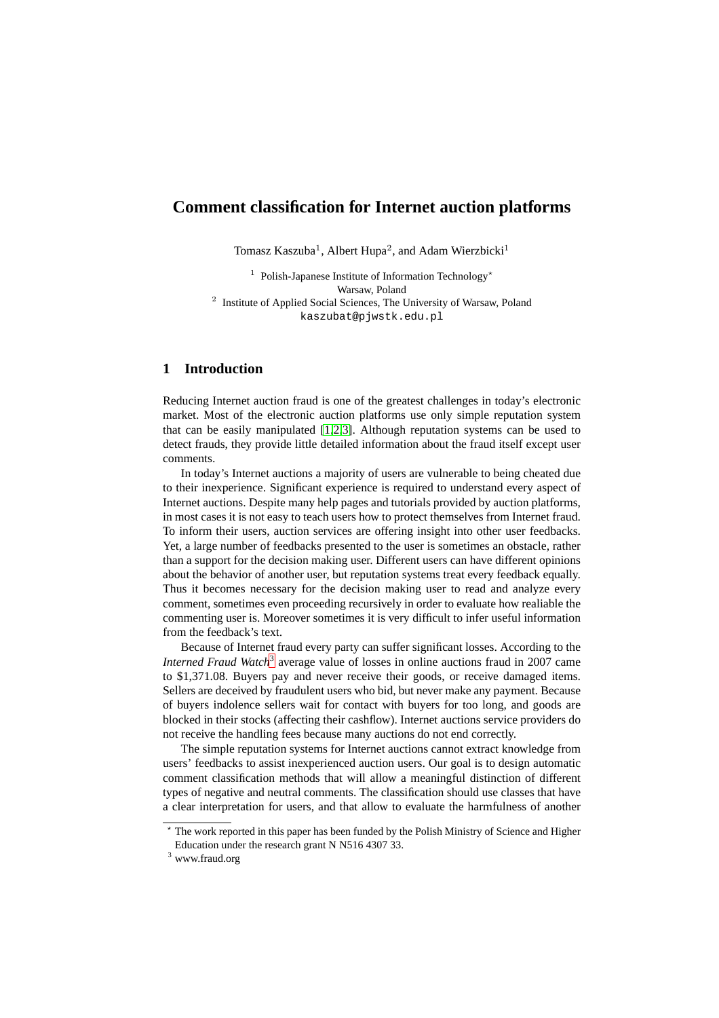# **Comment classification for Internet auction platforms**

Tomasz Kaszuba<sup>1</sup>, Albert Hupa<sup>2</sup>, and Adam Wierzbicki<sup>1</sup>

<sup>1</sup> Polish-Japanese Institute of Information Technology<sup>\*</sup> Warsaw, Poland <sup>2</sup> Institute of Applied Social Sciences, The University of Warsaw, Poland kaszubat@pjwstk.edu.pl

## **1 Introduction**

Reducing Internet auction fraud is one of the greatest challenges in today's electronic market. Most of the electronic auction platforms use only simple reputation system that can be easily manipulated [\[1](#page-10-0)[,2](#page-10-1)[,3\]](#page-10-2). Although reputation systems can be used to detect frauds, they provide little detailed information about the fraud itself except user comments.

In today's Internet auctions a majority of users are vulnerable to being cheated due to their inexperience. Significant experience is required to understand every aspect of Internet auctions. Despite many help pages and tutorials provided by auction platforms, in most cases it is not easy to teach users how to protect themselves from Internet fraud. To inform their users, auction services are offering insight into other user feedbacks. Yet, a large number of feedbacks presented to the user is sometimes an obstacle, rather than a support for the decision making user. Different users can have different opinions about the behavior of another user, but reputation systems treat every feedback equally. Thus it becomes necessary for the decision making user to read and analyze every comment, sometimes even proceeding recursively in order to evaluate how realiable the commenting user is. Moreover sometimes it is very difficult to infer useful information from the feedback's text.

Because of Internet fraud every party can suffer significant losses. According to the *Interned Fraud Watch*<sup>[3](#page-0-0)</sup> average value of losses in online auctions fraud in 2007 came to \$1,371.08. Buyers pay and never receive their goods, or receive damaged items. Sellers are deceived by fraudulent users who bid, but never make any payment. Because of buyers indolence sellers wait for contact with buyers for too long, and goods are blocked in their stocks (affecting their cashflow). Internet auctions service providers do not receive the handling fees because many auctions do not end correctly.

The simple reputation systems for Internet auctions cannot extract knowledge from users' feedbacks to assist inexperienced auction users. Our goal is to design automatic comment classification methods that will allow a meaningful distinction of different types of negative and neutral comments. The classification should use classes that have a clear interpretation for users, and that allow to evaluate the harmfulness of another

 $*$  The work reported in this paper has been funded by the Polish Ministry of Science and Higher Education under the research grant N N516 4307 33.

<span id="page-0-0"></span><sup>3</sup> www.fraud.org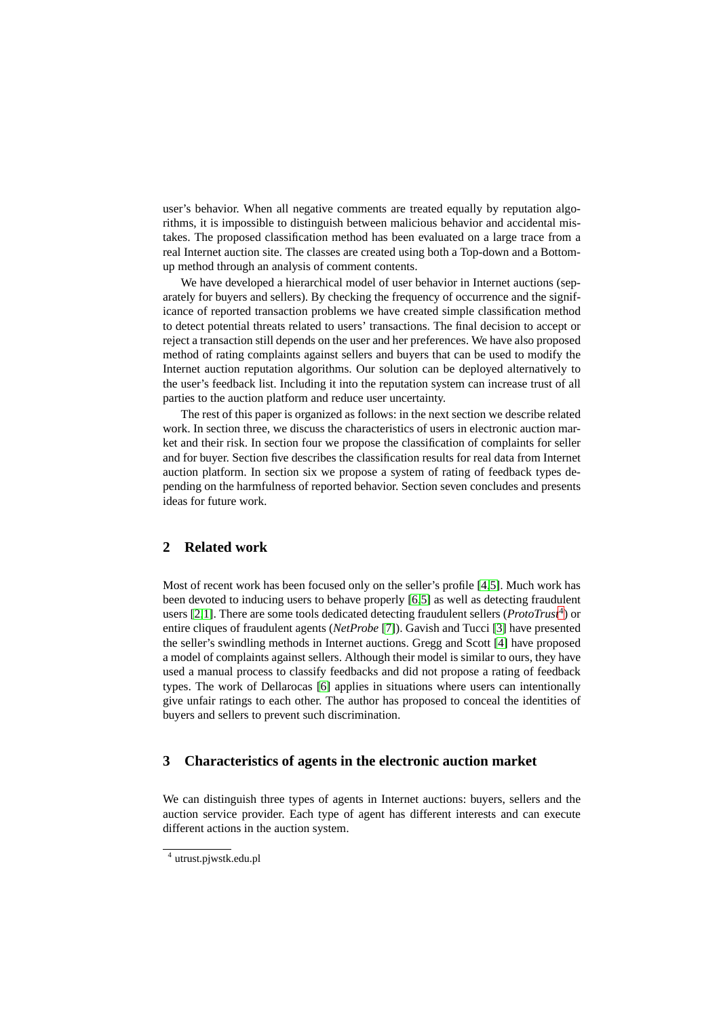user's behavior. When all negative comments are treated equally by reputation algorithms, it is impossible to distinguish between malicious behavior and accidental mistakes. The proposed classification method has been evaluated on a large trace from a real Internet auction site. The classes are created using both a Top-down and a Bottomup method through an analysis of comment contents.

We have developed a hierarchical model of user behavior in Internet auctions (separately for buyers and sellers). By checking the frequency of occurrence and the significance of reported transaction problems we have created simple classification method to detect potential threats related to users' transactions. The final decision to accept or reject a transaction still depends on the user and her preferences. We have also proposed method of rating complaints against sellers and buyers that can be used to modify the Internet auction reputation algorithms. Our solution can be deployed alternatively to the user's feedback list. Including it into the reputation system can increase trust of all parties to the auction platform and reduce user uncertainty.

The rest of this paper is organized as follows: in the next section we describe related work. In section three, we discuss the characteristics of users in electronic auction market and their risk. In section four we propose the classification of complaints for seller and for buyer. Section five describes the classification results for real data from Internet auction platform. In section six we propose a system of rating of feedback types depending on the harmfulness of reported behavior. Section seven concludes and presents ideas for future work.

## **2 Related work**

Most of recent work has been focused only on the seller's profile [\[4,](#page-10-3)[5\]](#page-10-4). Much work has been devoted to inducing users to behave properly [\[6](#page-10-5)[,5\]](#page-10-4) as well as detecting fraudulent users [\[2](#page-10-1)[,1\]](#page-10-0). There are some tools dedicated detecting fraudulent sellers (*ProtoTrust<sup>[4](#page-1-0)</sup>*) or entire cliques of fraudulent agents (*NetProbe* [\[7\]](#page-10-6)). Gavish and Tucci [\[3\]](#page-10-2) have presented the seller's swindling methods in Internet auctions. Gregg and Scott [\[4\]](#page-10-3) have proposed a model of complaints against sellers. Although their model is similar to ours, they have used a manual process to classify feedbacks and did not propose a rating of feedback types. The work of Dellarocas [\[6\]](#page-10-5) applies in situations where users can intentionally give unfair ratings to each other. The author has proposed to conceal the identities of buyers and sellers to prevent such discrimination.

## **3 Characteristics of agents in the electronic auction market**

We can distinguish three types of agents in Internet auctions: buyers, sellers and the auction service provider. Each type of agent has different interests and can execute different actions in the auction system.

<span id="page-1-0"></span><sup>4</sup> utrust.pjwstk.edu.pl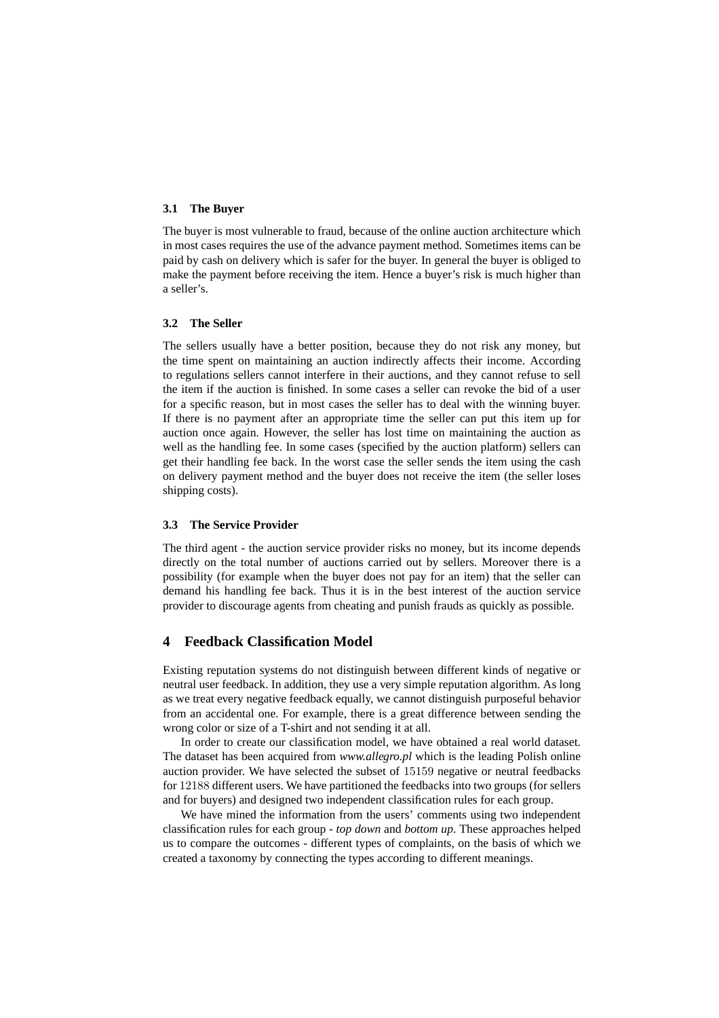### **3.1 The Buyer**

The buyer is most vulnerable to fraud, because of the online auction architecture which in most cases requires the use of the advance payment method. Sometimes items can be paid by cash on delivery which is safer for the buyer. In general the buyer is obliged to make the payment before receiving the item. Hence a buyer's risk is much higher than a seller's.

### **3.2 The Seller**

The sellers usually have a better position, because they do not risk any money, but the time spent on maintaining an auction indirectly affects their income. According to regulations sellers cannot interfere in their auctions, and they cannot refuse to sell the item if the auction is finished. In some cases a seller can revoke the bid of a user for a specific reason, but in most cases the seller has to deal with the winning buyer. If there is no payment after an appropriate time the seller can put this item up for auction once again. However, the seller has lost time on maintaining the auction as well as the handling fee. In some cases (specified by the auction platform) sellers can get their handling fee back. In the worst case the seller sends the item using the cash on delivery payment method and the buyer does not receive the item (the seller loses shipping costs).

#### **3.3 The Service Provider**

The third agent - the auction service provider risks no money, but its income depends directly on the total number of auctions carried out by sellers. Moreover there is a possibility (for example when the buyer does not pay for an item) that the seller can demand his handling fee back. Thus it is in the best interest of the auction service provider to discourage agents from cheating and punish frauds as quickly as possible.

## **4 Feedback Classification Model**

Existing reputation systems do not distinguish between different kinds of negative or neutral user feedback. In addition, they use a very simple reputation algorithm. As long as we treat every negative feedback equally, we cannot distinguish purposeful behavior from an accidental one. For example, there is a great difference between sending the wrong color or size of a T-shirt and not sending it at all.

In order to create our classification model, we have obtained a real world dataset. The dataset has been acquired from *www.allegro.pl* which is the leading Polish online auction provider. We have selected the subset of 15159 negative or neutral feedbacks for 12188 different users. We have partitioned the feedbacks into two groups (for sellers and for buyers) and designed two independent classification rules for each group.

We have mined the information from the users' comments using two independent classification rules for each group - *top down* and *bottom up*. These approaches helped us to compare the outcomes - different types of complaints, on the basis of which we created a taxonomy by connecting the types according to different meanings.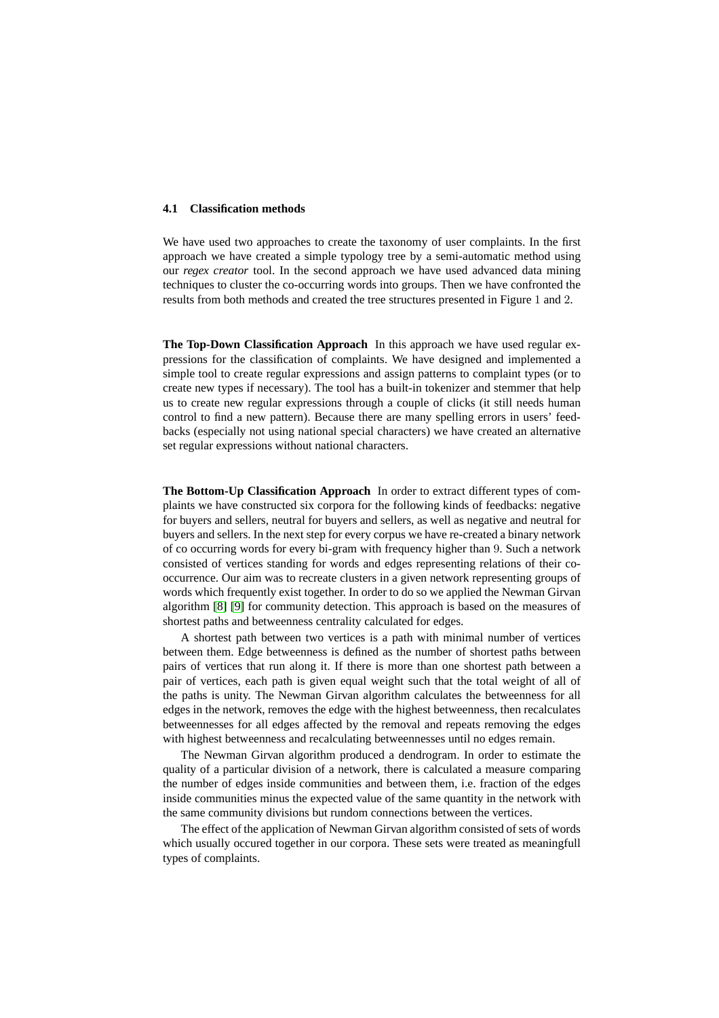#### **4.1 Classification methods**

We have used two approaches to create the taxonomy of user complaints. In the first approach we have created a simple typology tree by a semi-automatic method using our *regex creator* tool. In the second approach we have used advanced data mining techniques to cluster the co-occurring words into groups. Then we have confronted the results from both methods and created the tree structures presented in Figure 1 and 2.

**The Top-Down Classification Approach** In this approach we have used regular expressions for the classification of complaints. We have designed and implemented a simple tool to create regular expressions and assign patterns to complaint types (or to create new types if necessary). The tool has a built-in tokenizer and stemmer that help us to create new regular expressions through a couple of clicks (it still needs human control to find a new pattern). Because there are many spelling errors in users' feedbacks (especially not using national special characters) we have created an alternative set regular expressions without national characters.

**The Bottom-Up Classification Approach** In order to extract different types of complaints we have constructed six corpora for the following kinds of feedbacks: negative for buyers and sellers, neutral for buyers and sellers, as well as negative and neutral for buyers and sellers. In the next step for every corpus we have re-created a binary network of co occurring words for every bi-gram with frequency higher than 9. Such a network consisted of vertices standing for words and edges representing relations of their cooccurrence. Our aim was to recreate clusters in a given network representing groups of words which frequently exist together. In order to do so we applied the Newman Girvan algorithm [\[8\]](#page-10-7) [\[9\]](#page-10-8) for community detection. This approach is based on the measures of shortest paths and betweenness centrality calculated for edges.

A shortest path between two vertices is a path with minimal number of vertices between them. Edge betweenness is defined as the number of shortest paths between pairs of vertices that run along it. If there is more than one shortest path between a pair of vertices, each path is given equal weight such that the total weight of all of the paths is unity. The Newman Girvan algorithm calculates the betweenness for all edges in the network, removes the edge with the highest betweenness, then recalculates betweennesses for all edges affected by the removal and repeats removing the edges with highest betweenness and recalculating betweennesses until no edges remain.

The Newman Girvan algorithm produced a dendrogram. In order to estimate the quality of a particular division of a network, there is calculated a measure comparing the number of edges inside communities and between them, i.e. fraction of the edges inside communities minus the expected value of the same quantity in the network with the same community divisions but rundom connections between the vertices.

The effect of the application of Newman Girvan algorithm consisted of sets of words which usually occured together in our corpora. These sets were treated as meaningfull types of complaints.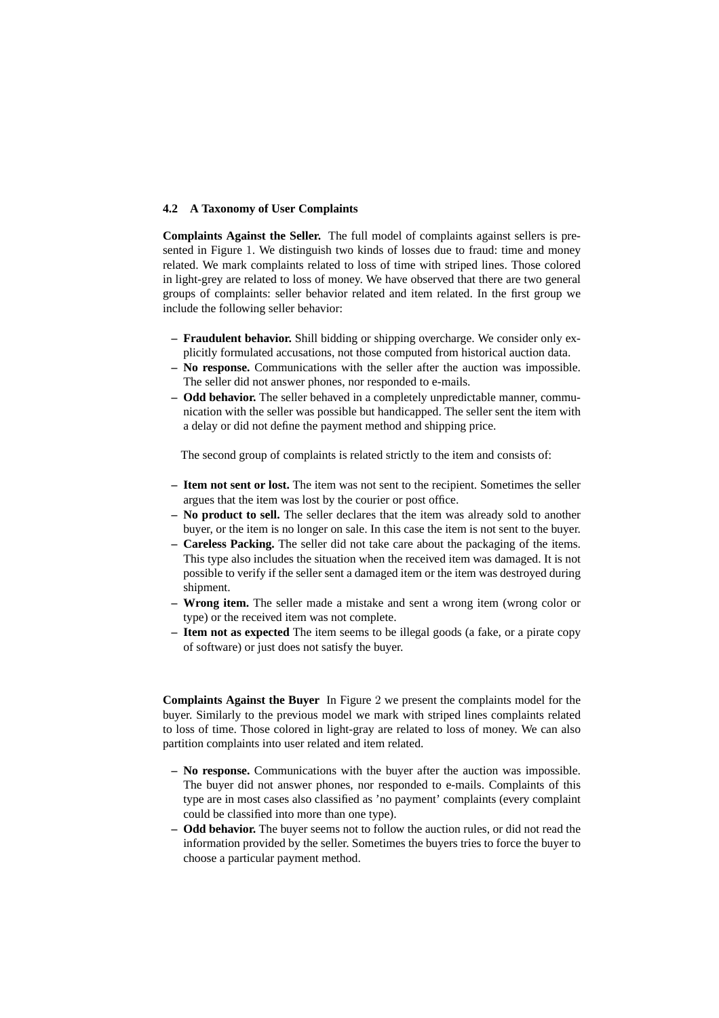### **4.2 A Taxonomy of User Complaints**

**Complaints Against the Seller.** The full model of complaints against sellers is presented in Figure 1. We distinguish two kinds of losses due to fraud: time and money related. We mark complaints related to loss of time with striped lines. Those colored in light-grey are related to loss of money. We have observed that there are two general groups of complaints: seller behavior related and item related. In the first group we include the following seller behavior:

- **Fraudulent behavior.** Shill bidding or shipping overcharge. We consider only explicitly formulated accusations, not those computed from historical auction data.
- **No response.** Communications with the seller after the auction was impossible. The seller did not answer phones, nor responded to e-mails.
- **Odd behavior.** The seller behaved in a completely unpredictable manner, communication with the seller was possible but handicapped. The seller sent the item with a delay or did not define the payment method and shipping price.

The second group of complaints is related strictly to the item and consists of:

- **Item not sent or lost.** The item was not sent to the recipient. Sometimes the seller argues that the item was lost by the courier or post office.
- **No product to sell.** The seller declares that the item was already sold to another buyer, or the item is no longer on sale. In this case the item is not sent to the buyer.
- **Careless Packing.** The seller did not take care about the packaging of the items. This type also includes the situation when the received item was damaged. It is not possible to verify if the seller sent a damaged item or the item was destroyed during shipment.
- **Wrong item.** The seller made a mistake and sent a wrong item (wrong color or type) or the received item was not complete.
- **Item not as expected** The item seems to be illegal goods (a fake, or a pirate copy of software) or just does not satisfy the buyer.

**Complaints Against the Buyer** In Figure 2 we present the complaints model for the buyer. Similarly to the previous model we mark with striped lines complaints related to loss of time. Those colored in light-gray are related to loss of money. We can also partition complaints into user related and item related.

- **No response.** Communications with the buyer after the auction was impossible. The buyer did not answer phones, nor responded to e-mails. Complaints of this type are in most cases also classified as 'no payment' complaints (every complaint could be classified into more than one type).
- **Odd behavior.** The buyer seems not to follow the auction rules, or did not read the information provided by the seller. Sometimes the buyers tries to force the buyer to choose a particular payment method.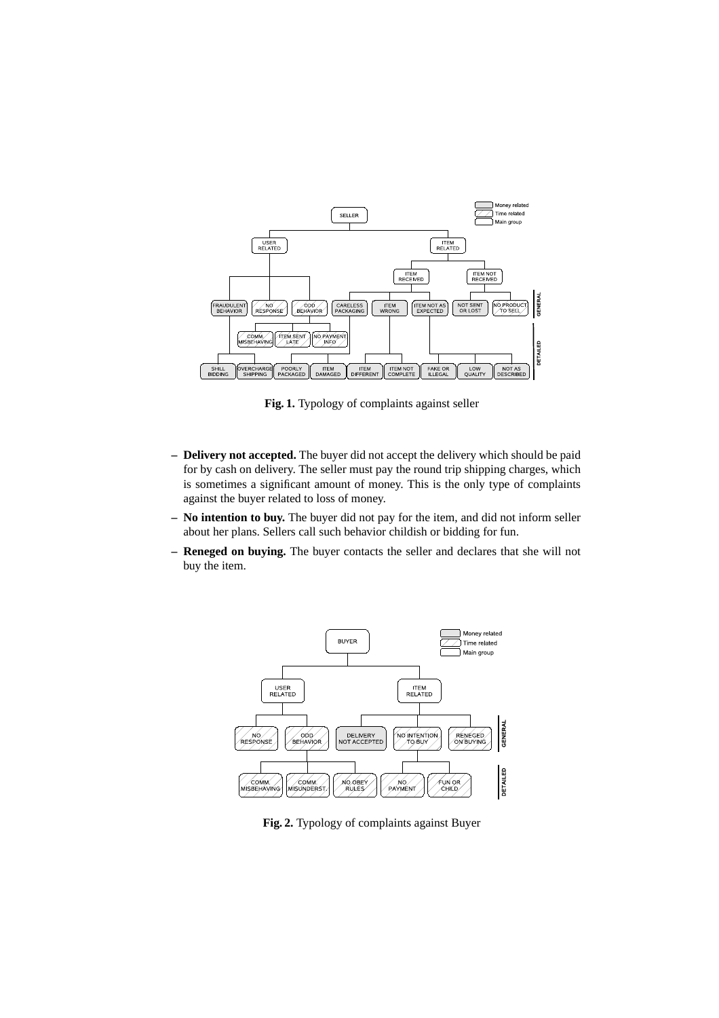

**Fig. 1.** Typology of complaints against seller

- **Delivery not accepted.** The buyer did not accept the delivery which should be paid for by cash on delivery. The seller must pay the round trip shipping charges, which is sometimes a significant amount of money. This is the only type of complaints against the buyer related to loss of money.
- **No intention to buy.** The buyer did not pay for the item, and did not inform seller about her plans. Sellers call such behavior childish or bidding for fun.
- **Reneged on buying.** The buyer contacts the seller and declares that she will not buy the item.



**Fig. 2.** Typology of complaints against Buyer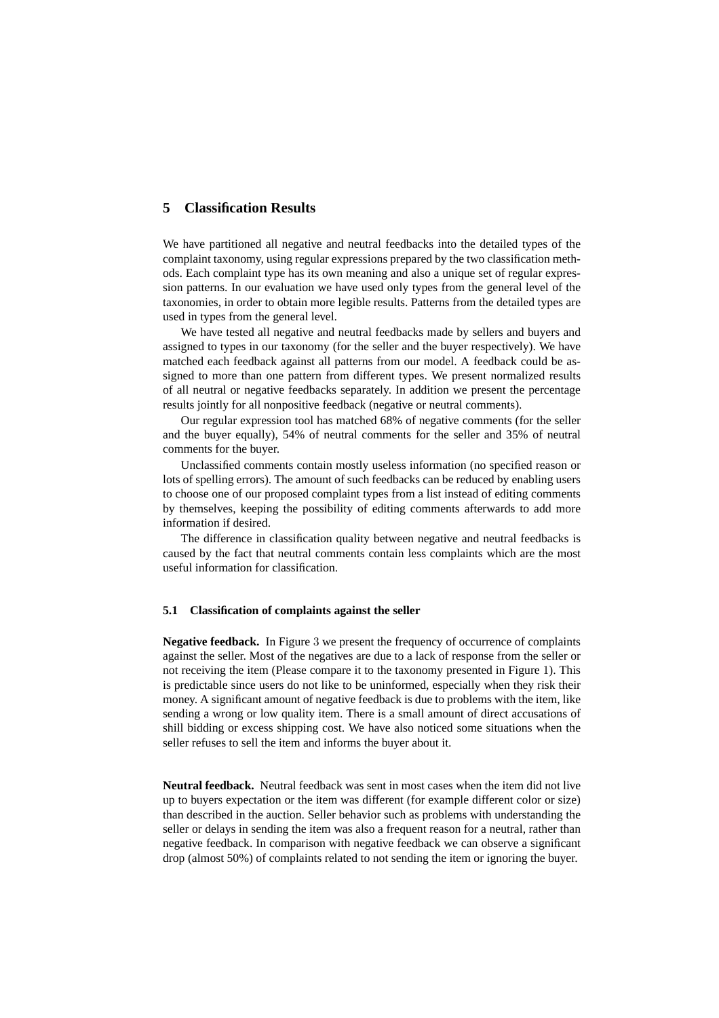## **5 Classification Results**

We have partitioned all negative and neutral feedbacks into the detailed types of the complaint taxonomy, using regular expressions prepared by the two classification methods. Each complaint type has its own meaning and also a unique set of regular expression patterns. In our evaluation we have used only types from the general level of the taxonomies, in order to obtain more legible results. Patterns from the detailed types are used in types from the general level.

We have tested all negative and neutral feedbacks made by sellers and buyers and assigned to types in our taxonomy (for the seller and the buyer respectively). We have matched each feedback against all patterns from our model. A feedback could be assigned to more than one pattern from different types. We present normalized results of all neutral or negative feedbacks separately. In addition we present the percentage results jointly for all nonpositive feedback (negative or neutral comments).

Our regular expression tool has matched 68% of negative comments (for the seller and the buyer equally), 54% of neutral comments for the seller and 35% of neutral comments for the buyer.

Unclassified comments contain mostly useless information (no specified reason or lots of spelling errors). The amount of such feedbacks can be reduced by enabling users to choose one of our proposed complaint types from a list instead of editing comments by themselves, keeping the possibility of editing comments afterwards to add more information if desired.

The difference in classification quality between negative and neutral feedbacks is caused by the fact that neutral comments contain less complaints which are the most useful information for classification.

#### **5.1 Classification of complaints against the seller**

**Negative feedback.** In Figure 3 we present the frequency of occurrence of complaints against the seller. Most of the negatives are due to a lack of response from the seller or not receiving the item (Please compare it to the taxonomy presented in Figure 1). This is predictable since users do not like to be uninformed, especially when they risk their money. A significant amount of negative feedback is due to problems with the item, like sending a wrong or low quality item. There is a small amount of direct accusations of shill bidding or excess shipping cost. We have also noticed some situations when the seller refuses to sell the item and informs the buyer about it.

**Neutral feedback.** Neutral feedback was sent in most cases when the item did not live up to buyers expectation or the item was different (for example different color or size) than described in the auction. Seller behavior such as problems with understanding the seller or delays in sending the item was also a frequent reason for a neutral, rather than negative feedback. In comparison with negative feedback we can observe a significant drop (almost 50%) of complaints related to not sending the item or ignoring the buyer.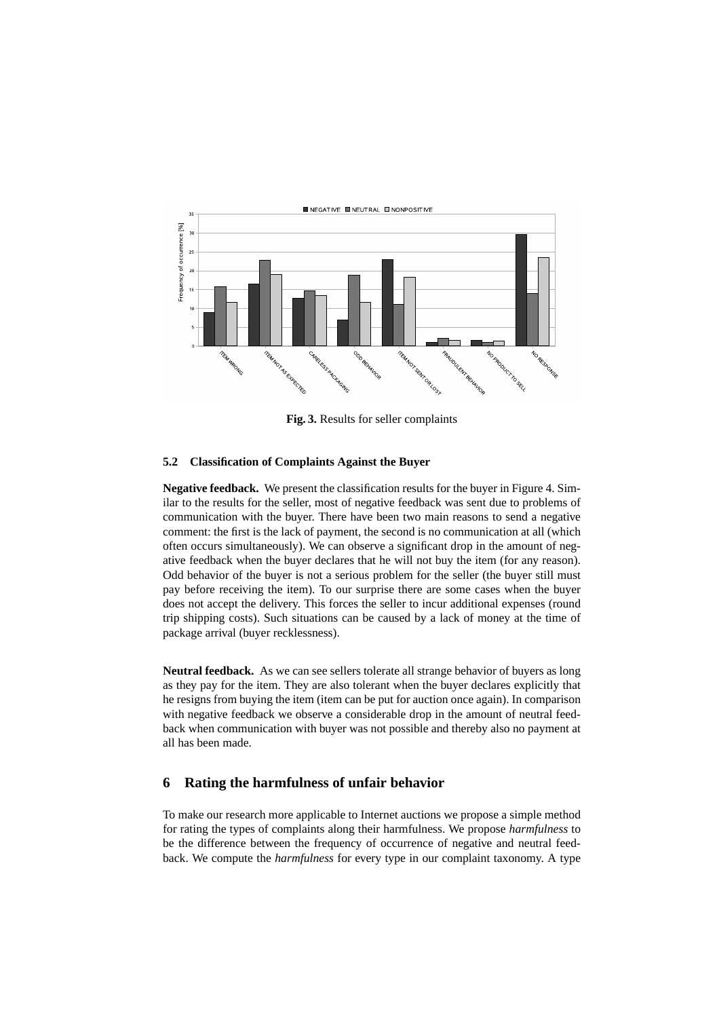

**Fig. 3.** Results for seller complaints

#### **5.2 Classification of Complaints Against the Buyer**

**Negative feedback.** We present the classification results for the buyer in Figure 4. Similar to the results for the seller, most of negative feedback was sent due to problems of communication with the buyer. There have been two main reasons to send a negative comment: the first is the lack of payment, the second is no communication at all (which often occurs simultaneously). We can observe a significant drop in the amount of negative feedback when the buyer declares that he will not buy the item (for any reason). Odd behavior of the buyer is not a serious problem for the seller (the buyer still must pay before receiving the item). To our surprise there are some cases when the buyer does not accept the delivery. This forces the seller to incur additional expenses (round trip shipping costs). Such situations can be caused by a lack of money at the time of package arrival (buyer recklessness).

**Neutral feedback.** As we can see sellers tolerate all strange behavior of buyers as long as they pay for the item. They are also tolerant when the buyer declares explicitly that he resigns from buying the item (item can be put for auction once again). In comparison with negative feedback we observe a considerable drop in the amount of neutral feedback when communication with buyer was not possible and thereby also no payment at all has been made.

### **6 Rating the harmfulness of unfair behavior**

To make our research more applicable to Internet auctions we propose a simple method for rating the types of complaints along their harmfulness. We propose *harmfulness* to be the difference between the frequency of occurrence of negative and neutral feedback. We compute the *harmfulness* for every type in our complaint taxonomy. A type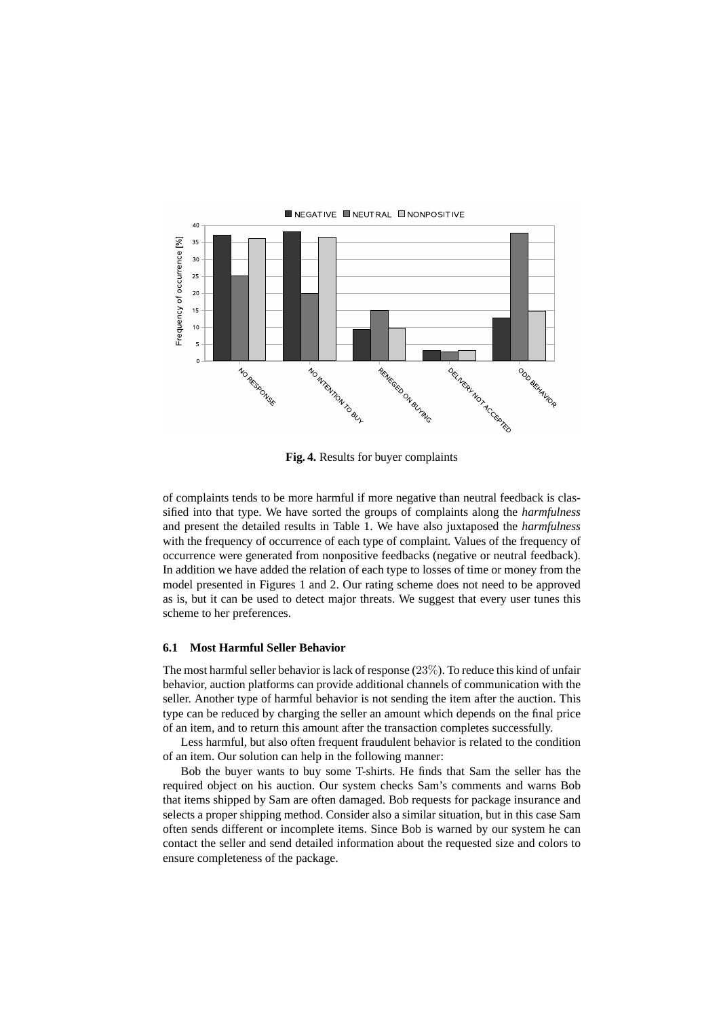

**Fig. 4.** Results for buyer complaints

of complaints tends to be more harmful if more negative than neutral feedback is classified into that type. We have sorted the groups of complaints along the *harmfulness* and present the detailed results in Table 1. We have also juxtaposed the *harmfulness* with the frequency of occurrence of each type of complaint. Values of the frequency of occurrence were generated from nonpositive feedbacks (negative or neutral feedback). In addition we have added the relation of each type to losses of time or money from the model presented in Figures 1 and 2. Our rating scheme does not need to be approved as is, but it can be used to detect major threats. We suggest that every user tunes this scheme to her preferences.

#### **6.1 Most Harmful Seller Behavior**

The most harmful seller behavior is lack of response (23%). To reduce this kind of unfair behavior, auction platforms can provide additional channels of communication with the seller. Another type of harmful behavior is not sending the item after the auction. This type can be reduced by charging the seller an amount which depends on the final price of an item, and to return this amount after the transaction completes successfully.

Less harmful, but also often frequent fraudulent behavior is related to the condition of an item. Our solution can help in the following manner:

Bob the buyer wants to buy some T-shirts. He finds that Sam the seller has the required object on his auction. Our system checks Sam's comments and warns Bob that items shipped by Sam are often damaged. Bob requests for package insurance and selects a proper shipping method. Consider also a similar situation, but in this case Sam often sends different or incomplete items. Since Bob is warned by our system he can contact the seller and send detailed information about the requested size and colors to ensure completeness of the package.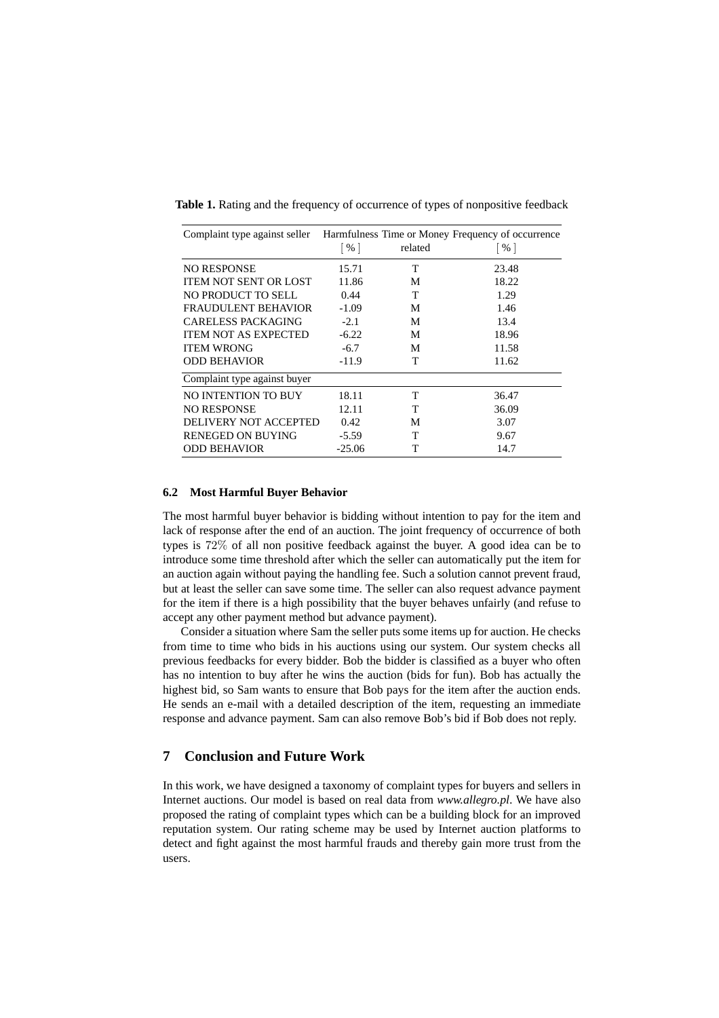| Complaint type against seller Harmfulness Time or Money Frequency of occurrence |                 |         |                 |
|---------------------------------------------------------------------------------|-----------------|---------|-----------------|
|                                                                                 | $\vert\% \vert$ | related | $\vert\% \vert$ |
| <b>NO RESPONSE</b>                                                              | 15.71           | T       | 23.48           |
| <b>ITEM NOT SENT OR LOST</b>                                                    | 11.86           | М       | 18.22           |
| NO PRODUCT TO SELL                                                              | 0.44            | T       | 1.29            |
| <b>FRAUDULENT BEHAVIOR</b>                                                      | $-1.09$         | М       | 1.46            |
| <b>CARELESS PACKAGING</b>                                                       | $-2.1$          | M       | 13.4            |
| <b>ITEM NOT AS EXPECTED</b>                                                     | $-6.22$         | M       | 18.96           |
| <b>ITEM WRONG</b>                                                               | $-6.7$          | M       | 11.58           |
| <b>ODD BEHAVIOR</b>                                                             | $-11.9$         | T       | 11.62           |
| Complaint type against buyer                                                    |                 |         |                 |
| NO INTENTION TO BUY                                                             | 18.11           | T       | 36.47           |
| <b>NO RESPONSE</b>                                                              | 12.11           | т       | 36.09           |
| DELIVERY NOT ACCEPTED                                                           | 0.42            | М       | 3.07            |
| RENEGED ON BUYING                                                               | $-5.59$         | т       | 9.67            |
| <b>ODD BEHAVIOR</b>                                                             | $-25.06$        | т       | 14.7            |

**Table 1.** Rating and the frequency of occurrence of types of nonpositive feedback

#### **6.2 Most Harmful Buyer Behavior**

The most harmful buyer behavior is bidding without intention to pay for the item and lack of response after the end of an auction. The joint frequency of occurrence of both types is 72% of all non positive feedback against the buyer. A good idea can be to introduce some time threshold after which the seller can automatically put the item for an auction again without paying the handling fee. Such a solution cannot prevent fraud, but at least the seller can save some time. The seller can also request advance payment for the item if there is a high possibility that the buyer behaves unfairly (and refuse to accept any other payment method but advance payment).

Consider a situation where Sam the seller puts some items up for auction. He checks from time to time who bids in his auctions using our system. Our system checks all previous feedbacks for every bidder. Bob the bidder is classified as a buyer who often has no intention to buy after he wins the auction (bids for fun). Bob has actually the highest bid, so Sam wants to ensure that Bob pays for the item after the auction ends. He sends an e-mail with a detailed description of the item, requesting an immediate response and advance payment. Sam can also remove Bob's bid if Bob does not reply.

## **7 Conclusion and Future Work**

In this work, we have designed a taxonomy of complaint types for buyers and sellers in Internet auctions. Our model is based on real data from *www.allegro.pl*. We have also proposed the rating of complaint types which can be a building block for an improved reputation system. Our rating scheme may be used by Internet auction platforms to detect and fight against the most harmful frauds and thereby gain more trust from the users.